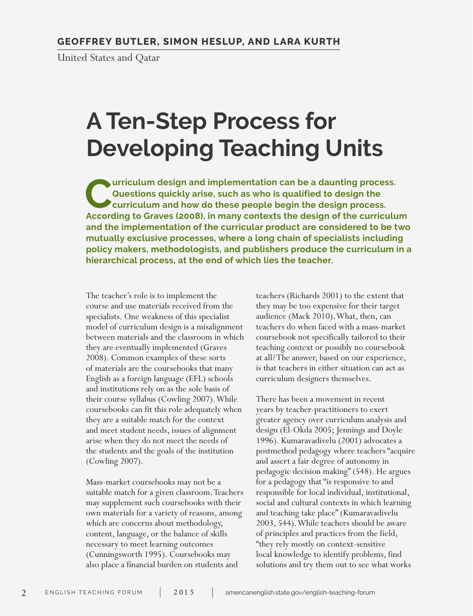United States and Qatar

# **A Ten-Step Process for Developing Teaching Units**

**Curriculum design and implementation can be a daunting process. Questions quickly arise, such as who is qualified to design the curriculum and how do these people begin the design process. According to Graves (2008), in many contexts the design of the curriculum and the implementation of the curricular product are considered to be two mutually exclusive processes, where a long chain of specialists including policy makers, methodologists, and publishers produce the curriculum in a hierarchical process, at the end of which lies the teacher.**

The teacher's role is to implement the course and use materials received from the specialists. One weakness of this specialist model of curriculum design is a misalignment between materials and the classroom in which they are eventually implemented (Graves 2008). Common examples of these sorts of materials are the coursebooks that many English as a foreign language (EFL) schools and institutions rely on as the sole basis of their course syllabus (Cowling 2007). While coursebooks can fit this role adequately when they are a suitable match for the context and meet student needs, issues of alignment arise when they do not meet the needs of the students and the goals of the institution (Cowling 2007).

Mass-market coursebooks may not be a suitable match for a given classroom. Teachers may supplement such coursebooks with their own materials for a variety of reasons, among which are concerns about methodology, content, language, or the balance of skills necessary to meet learning outcomes (Cunningsworth 1995). Coursebooks may also place a financial burden on students and

teachers (Richards 2001) to the extent that they may be too expensive for their target audience (Mack 2010). What, then, can teachers do when faced with a mass-market coursebook not specifically tailored to their teaching context or possibly no coursebook at all? The answer, based on our experience, is that teachers in either situation can act as curriculum designers themselves.

There has been a movement in recent years by teacher-practitioners to exert greater agency over curriculum analysis and design (El-Okda 2005; Jennings and Doyle 1996). Kumaravadivelu (2001) advocates a postmethod pedagogy where teachers "acquire and assert a fair degree of autonomy in pedagogic decision making" (548). He argues for a pedagogy that "is responsive to and responsible for local individual, institutional, social and cultural contexts in which learning and teaching take place" (Kumaravadivelu 2003, 544). While teachers should be aware of principles and practices from the field, "they rely mostly on context-sensitive local knowledge to identify problems, find solutions and try them out to see what works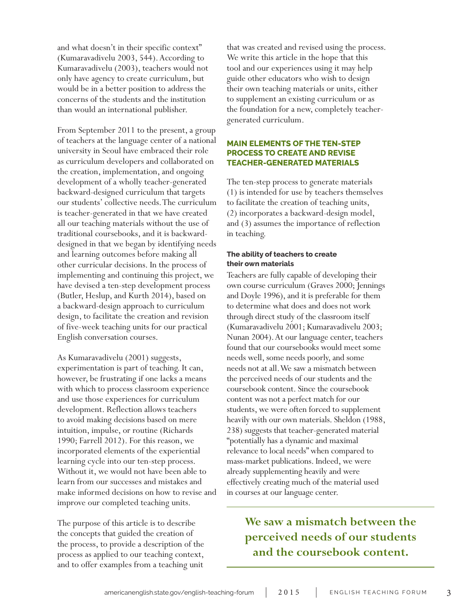and what doesn't in their specific context" (Kumaravadivelu 2003, 544). According to Kumaravadivelu (2003), teachers would not only have agency to create curriculum, but would be in a better position to address the concerns of the students and the institution than would an international publisher.

From September 2011 to the present, a group of teachers at the language center of a national university in Seoul have embraced their role as curriculum developers and collaborated on the creation, implementation, and ongoing development of a wholly teacher-generated backward-designed curriculum that targets our students' collective needs. The curriculum is teacher-generated in that we have created all our teaching materials without the use of traditional coursebooks, and it is backwarddesigned in that we began by identifying needs and learning outcomes before making all other curricular decisions. In the process of implementing and continuing this project, we have devised a ten-step development process (Butler, Heslup, and Kurth 2014), based on a backward-design approach to curriculum design, to facilitate the creation and revision of five-week teaching units for our practical English conversation courses.

As Kumaravadivelu (2001) suggests, experimentation is part of teaching. It can, however, be frustrating if one lacks a means with which to process classroom experience and use those experiences for curriculum development. Reflection allows teachers to avoid making decisions based on mere intuition, impulse, or routine (Richards 1990; Farrell 2012). For this reason, we incorporated elements of the experiential learning cycle into our ten-step process. Without it, we would not have been able to learn from our successes and mistakes and make informed decisions on how to revise and improve our completed teaching units.

The purpose of this article is to describe the concepts that guided the creation of the process, to provide a description of the process as applied to our teaching context, and to offer examples from a teaching unit

that was created and revised using the process. We write this article in the hope that this tool and our experiences using it may help guide other educators who wish to design their own teaching materials or units, either to supplement an existing curriculum or as the foundation for a new, completely teachergenerated curriculum.

## **MAIN ELEMENTS OF THE TEN-STEP PROCESS TO CREATE AND REVISE TEACHER-GENERATED MATERIALS**

The ten-step process to generate materials (1) is intended for use by teachers themselves to facilitate the creation of teaching units, (2) incorporates a backward-design model, and (3) assumes the importance of reflection in teaching.

# **The ability of teachers to create their own materials**

Teachers are fully capable of developing their own course curriculum (Graves 2000; Jennings and Doyle 1996), and it is preferable for them to determine what does and does not work through direct study of the classroom itself (Kumaravadivelu 2001; Kumaravadivelu 2003; Nunan 2004). At our language center, teachers found that our coursebooks would meet some needs well, some needs poorly, and some needs not at all. We saw a mismatch between the perceived needs of our students and the coursebook content. Since the coursebook content was not a perfect match for our students, we were often forced to supplement heavily with our own materials. Sheldon (1988, 238) suggests that teacher-generated material "potentially has a dynamic and maximal relevance to local needs" when compared to mass-market publications. Indeed, we were already supplementing heavily and were effectively creating much of the material used in courses at our language center.

# **We saw a mismatch between the perceived needs of our students and the coursebook content.**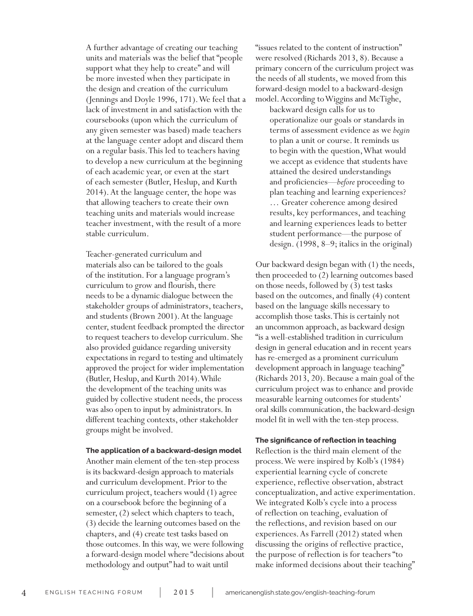A further advantage of creating our teaching units and materials was the belief that "people support what they help to create" and will be more invested when they participate in the design and creation of the curriculum (Jennings and Doyle 1996, 171). We feel that a lack of investment in and satisfaction with the coursebooks (upon which the curriculum of any given semester was based) made teachers at the language center adopt and discard them on a regular basis. This led to teachers having to develop a new curriculum at the beginning of each academic year, or even at the start of each semester (Butler, Heslup, and Kurth 2014). At the language center, the hope was that allowing teachers to create their own teaching units and materials would increase teacher investment, with the result of a more stable curriculum.

Teacher-generated curriculum and materials also can be tailored to the goals of the institution. For a language program's curriculum to grow and flourish, there needs to be a dynamic dialogue between the stakeholder groups of administrators, teachers, and students (Brown 2001). At the language center, student feedback prompted the director to request teachers to develop curriculum. She also provided guidance regarding university expectations in regard to testing and ultimately approved the project for wider implementation (Butler, Heslup, and Kurth 2014). While the development of the teaching units was guided by collective student needs, the process was also open to input by administrators. In different teaching contexts, other stakeholder groups might be involved.

#### **The application of a backward-design model**

Another main element of the ten-step process is its backward-design approach to materials and curriculum development. Prior to the curriculum project, teachers would (1) agree on a coursebook before the beginning of a semester, (2) select which chapters to teach, (3) decide the learning outcomes based on the chapters, and (4) create test tasks based on those outcomes. In this way, we were following a forward-design model where "decisions about methodology and output" had to wait until

"issues related to the content of instruction" were resolved (Richards 2013, 8). Because a primary concern of the curriculum project was the needs of all students, we moved from this forward-design model to a backward-design model. According to Wiggins and McTighe,

backward design calls for us to operationalize our goals or standards in terms of assessment evidence as we *begin* to plan a unit or course. It reminds us to begin with the question, What would we accept as evidence that students have attained the desired understandings and proficiencies—*before* proceeding to plan teaching and learning experiences? … Greater coherence among desired results, key performances, and teaching and learning experiences leads to better student performance—the purpose of design. (1998, 8–9; italics in the original)

Our backward design began with (1) the needs, then proceeded to (2) learning outcomes based on those needs, followed by (3) test tasks based on the outcomes, and finally (4) content based on the language skills necessary to accomplish those tasks. This is certainly not an uncommon approach, as backward design "is a well-established tradition in curriculum design in general education and in recent years has re-emerged as a prominent curriculum development approach in language teaching" (Richards 2013, 20). Because a main goal of the curriculum project was to enhance and provide measurable learning outcomes for students' oral skills communication, the backward-design model fit in well with the ten-step process.

#### **The significance of reflection in teaching**

Reflection is the third main element of the process. We were inspired by Kolb's (1984) experiential learning cycle of concrete experience, reflective observation, abstract conceptualization, and active experimentation. We integrated Kolb's cycle into a process of reflection on teaching, evaluation of the reflections, and revision based on our experiences. As Farrell (2012) stated when discussing the origins of reflective practice, the purpose of reflection is for teachers "to make informed decisions about their teaching"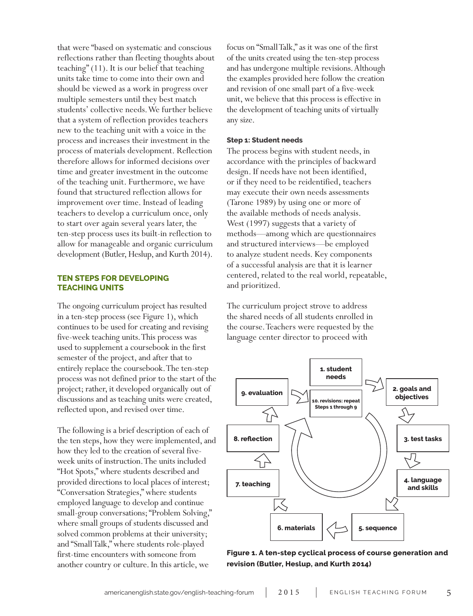that were "based on systematic and conscious reflections rather than fleeting thoughts about teaching" (11). It is our belief that teaching units take time to come into their own and should be viewed as a work in progress over multiple semesters until they best match students' collective needs. We further believe that a system of reflection provides teachers new to the teaching unit with a voice in the process and increases their investment in the process of materials development. Reflection therefore allows for informed decisions over time and greater investment in the outcome of the teaching unit. Furthermore, we have found that structured reflection allows for improvement over time. Instead of leading teachers to develop a curriculum once, only to start over again several years later, the ten-step process uses its built-in reflection to allow for manageable and organic curriculum development (Butler, Heslup, and Kurth 2014).

# **TEN STEPS FOR DEVELOPING TEACHING UNITS**

The ongoing curriculum project has resulted in a ten-step process (see Figure 1), which continues to be used for creating and revising five-week teaching units. This process was used to supplement a coursebook in the first semester of the project, and after that to entirely replace the coursebook. The ten-step process was not defined prior to the start of the project; rather, it developed organically out of discussions and as teaching units were created, reflected upon, and revised over time.

The following is a brief description of each of the ten steps, how they were implemented, and how they led to the creation of several fiveweek units of instruction. The units included "Hot Spots," where students described and provided directions to local places of interest; "Conversation Strategies," where students employed language to develop and continue small-group conversations; "Problem Solving," where small groups of students discussed and solved common problems at their university; and "Small Talk," where students role-played first-time encounters with someone from another country or culture. In this article, we

focus on "Small Talk," as it was one of the first of the units created using the ten-step process and has undergone multiple revisions. Although the examples provided here follow the creation and revision of one small part of a five-week unit, we believe that this process is effective in the development of teaching units of virtually any size.

#### **Step 1: Student needs**

The process begins with student needs, in accordance with the principles of backward design. If needs have not been identified, or if they need to be reidentified, teachers may execute their own needs assessments (Tarone 1989) by using one or more of the available methods of needs analysis. West (1997) suggests that a variety of methods—among which are questionnaires and structured interviews—be employed to analyze student needs. Key components of a successful analysis are that it is learner centered, related to the real world, repeatable, and prioritized.

The curriculum project strove to address the shared needs of all students enrolled in the course. Teachers were requested by the language center director to proceed with



**Figure 1. A ten-step cyclical process of course generation and revision (Butler, Heslup, and Kurth 2014)**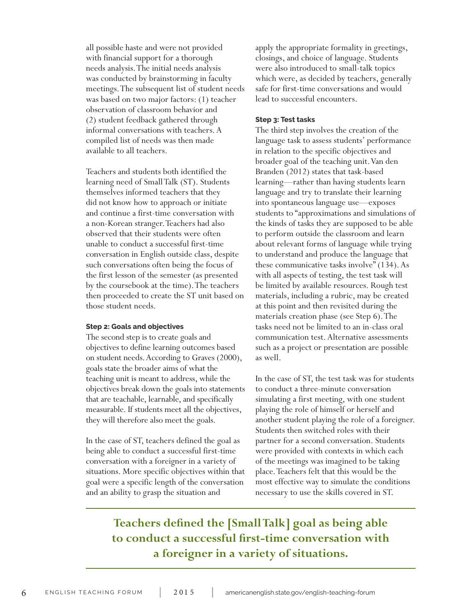all possible haste and were not provided with financial support for a thorough needs analysis. The initial needs analysis was conducted by brainstorming in faculty meetings. The subsequent list of student needs was based on two major factors: (1) teacher observation of classroom behavior and (2) student feedback gathered through informal conversations with teachers. A compiled list of needs was then made available to all teachers.

Teachers and students both identified the learning need of Small Talk (ST). Students themselves informed teachers that they did not know how to approach or initiate and continue a first-time conversation with a non-Korean stranger. Teachers had also observed that their students were often unable to conduct a successful first-time conversation in English outside class, despite such conversations often being the focus of the first lesson of the semester (as presented by the coursebook at the time). The teachers then proceeded to create the ST unit based on those student needs.

### **Step 2: Goals and objectives**

The second step is to create goals and objectives to define learning outcomes based on student needs. According to Graves (2000), goals state the broader aims of what the teaching unit is meant to address, while the objectives break down the goals into statements that are teachable, learnable, and specifically measurable. If students meet all the objectives, they will therefore also meet the goals.

In the case of ST, teachers defined the goal as being able to conduct a successful first-time conversation with a foreigner in a variety of situations. More specific objectives within that goal were a specific length of the conversation and an ability to grasp the situation and

apply the appropriate formality in greetings, closings, and choice of language. Students were also introduced to small-talk topics which were, as decided by teachers, generally safe for first-time conversations and would lead to successful encounters.

#### **Step 3: Test tasks**

The third step involves the creation of the language task to assess students' performance in relation to the specific objectives and broader goal of the teaching unit. Van den Branden (2012) states that task-based learning—rather than having students learn language and try to translate their learning into spontaneous language use—exposes students to "approximations and simulations of the kinds of tasks they are supposed to be able to perform outside the classroom and learn about relevant forms of language while trying to understand and produce the language that these communicative tasks involve" (134). As with all aspects of testing, the test task will be limited by available resources. Rough test materials, including a rubric, may be created at this point and then revisited during the materials creation phase (see Step 6). The tasks need not be limited to an in-class oral communication test. Alternative assessments such as a project or presentation are possible as well.

In the case of ST, the test task was for students to conduct a three-minute conversation simulating a first meeting, with one student playing the role of himself or herself and another student playing the role of a foreigner. Students then switched roles with their partner for a second conversation. Students were provided with contexts in which each of the meetings was imagined to be taking place. Teachers felt that this would be the most effective way to simulate the conditions necessary to use the skills covered in ST.

# **Teachers defined the [Small Talk] goal as being able to conduct a successful first-time conversation with a foreigner in a variety of situations.**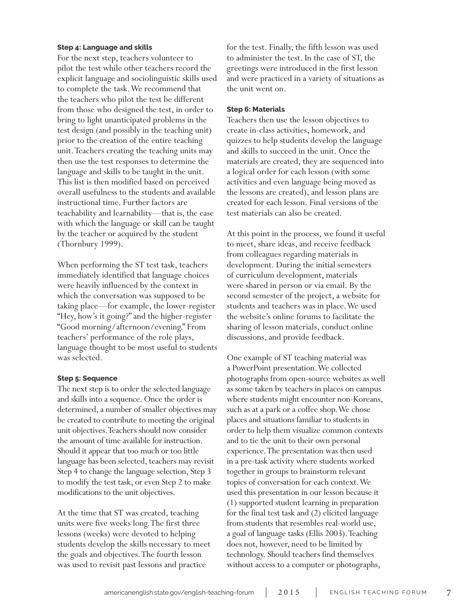#### **Step 4: Language and skills**

For the next step, teachers volunteer to pilot the test while other teachers record the explicit language and sociolinguistic skills used to complete the task. We recommend that the teachers who pilot the test be different from those who designed the test, in order to bring to light unanticipated problems in the test design (and possibly in the teaching unit) prior to the creation of the entire teaching unit. Teachers creating the teaching units may then use the test responses to determine the language and skills to be taught in the unit. This list is then modified based on perceived overall usefulness to the students and available instructional time. Further factors are teachability and learnability—that is, the ease with which the language or skill can be taught by the teacher or acquired by the student (Thornbury 1999).

When performing the ST test task, teachers immediately identified that language choices were heavily influenced by the context in which the conversation was supposed to be taking place—for example, the lower-register "Hey, how's it going?" and the higher-register "Good morning/afternoon/evening." From teachers' performance of the role plays, language thought to be most useful to students was selected.

#### **Step 5: Sequence**

The next step is to order the selected language and skills into a sequence. Once the order is determined, a number of smaller objectives may be created to contribute to meeting the original unit objectives. Teachers should now consider the amount of time available for instruction. Should it appear that too much or too little language has been selected, teachers may revisit Step 4 to change the language selection, Step 3 to modify the test task, or even Step 2 to make modifications to the unit objectives.

At the time that ST was created, teaching units were five weeks long. The first three lessons (weeks) were devoted to helping students develop the skills necessary to meet the goals and objectives. The fourth lesson was used to revisit past lessons and practice

for the test. Finally, the fifth lesson was used to administer the test. In the case of ST, the greetings were introduced in the first lesson and were practiced in a variety of situations as the unit went on.

#### **Step 6: Materials**

Teachers then use the lesson objectives to create in-class activities, homework, and quizzes to help students develop the language and skills to succeed in the unit. Once the materials are created, they are sequenced into a logical order for each lesson (with some activities and even language being moved as the lessons are created), and lesson plans are created for each lesson. Final versions of the test materials can also be created.

At this point in the process, we found it useful to meet, share ideas, and receive feedback from colleagues regarding materials in development. During the initial semesters of curriculum development, materials were shared in person or via email. By the second semester of the project, a website for students and teachers was in place. We used the website's online forums to facilitate the sharing of lesson materials, conduct online discussions, and provide feedback.

One example of ST teaching material was a PowerPoint presentation. We collected photographs from open-source websites as well as some taken by teachers in places on campus where students might encounter non-Koreans, such as at a park or a coffee shop. We chose places and situations familiar to students in order to help them visualize common contexts and to tie the unit to their own personal experience. The presentation was then used in a pre-task activity where students worked together in groups to brainstorm relevant topics of conversation for each context. We used this presentation in our lesson because it (1) supported student learning in preparation for the final test task and (2) elicited language from students that resembles real-world use, a goal of language tasks (Ellis 2003). Teaching does not, however, need to be limited by technology. Should teachers find themselves without access to a computer or photographs,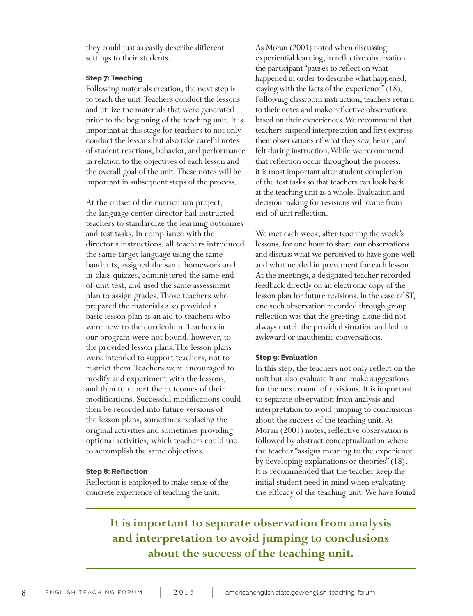they could just as easily describe different settings to their students.

#### **Step 7: Teaching**

Following materials creation, the next step is to teach the unit. Teachers conduct the lessons and utilize the materials that were generated prior to the beginning of the teaching unit. It is important at this stage for teachers to not only conduct the lessons but also take careful notes of student reactions, behavior, and performance in relation to the objectives of each lesson and the overall goal of the unit. These notes will be important in subsequent steps of the process.

At the outset of the curriculum project, the language center director had instructed teachers to standardize the learning outcomes and test tasks. In compliance with the director's instructions, all teachers introduced the same target language using the same handouts, assigned the same homework and in-class quizzes, administered the same endof-unit test, and used the same assessment plan to assign grades. Those teachers who prepared the materials also provided a basic lesson plan as an aid to teachers who were new to the curriculum. Teachers in our program were not bound, however, to the provided lesson plans. The lesson plans were intended to support teachers, not to restrict them. Teachers were encouraged to modify and experiment with the lessons, and then to report the outcomes of their modifications. Successful modifications could then be recorded into future versions of the lesson plans, sometimes replacing the original activities and sometimes providing optional activities, which teachers could use to accomplish the same objectives.

#### **Step 8: Reflection**

Reflection is employed to make sense of the concrete experience of teaching the unit.

As Moran (2001) noted when discussing experiential learning, in reflective observation the participant "pauses to reflect on what happened in order to describe what happened, staying with the facts of the experience" (18). Following classroom instruction, teachers return to their notes and make reflective observations based on their experiences. We recommend that teachers suspend interpretation and first express their observations of what they saw, heard, and felt during instruction. While we recommend that reflection occur throughout the process, it is most important after student completion of the test tasks so that teachers can look back at the teaching unit as a whole. Evaluation and decision making for revisions will come from end-of-unit reflection.

We met each week, after teaching the week's lessons, for one hour to share our observations and discuss what we perceived to have gone well and what needed improvement for each lesson. At the meetings, a designated teacher recorded feedback directly on an electronic copy of the lesson plan for future revisions. In the case of ST, one such observation recorded through group reflection was that the greetings alone did not always match the provided situation and led to awkward or inauthentic conversations.

#### **Step 9: Evaluation**

In this step, the teachers not only reflect on the unit but also evaluate it and make suggestions for the next round of revisions. It is important to separate observation from analysis and interpretation to avoid jumping to conclusions about the success of the teaching unit. As Moran (2001) notes, reflective observation is followed by abstract conceptualization where the teacher "assigns meaning to the experience by developing explanations or theories" (18). It is recommended that the teacher keep the initial student need in mind when evaluating the efficacy of the teaching unit. We have found

# **It is important to separate observation from analysis and interpretation to avoid jumping to conclusions about the success of the teaching unit.**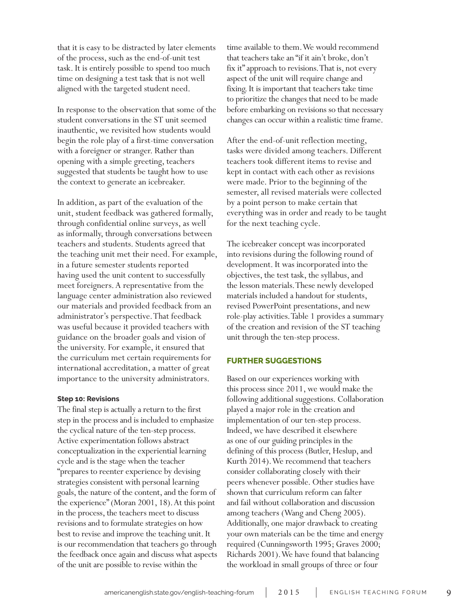that it is easy to be distracted by later elements of the process, such as the end-of-unit test task. It is entirely possible to spend too much time on designing a test task that is not well aligned with the targeted student need.

In response to the observation that some of the student conversations in the ST unit seemed inauthentic, we revisited how students would begin the role play of a first-time conversation with a foreigner or stranger. Rather than opening with a simple greeting, teachers suggested that students be taught how to use the context to generate an icebreaker.

In addition, as part of the evaluation of the unit, student feedback was gathered formally, through confidential online surveys, as well as informally, through conversations between teachers and students. Students agreed that the teaching unit met their need. For example, in a future semester students reported having used the unit content to successfully meet foreigners. A representative from the language center administration also reviewed our materials and provided feedback from an administrator's perspective. That feedback was useful because it provided teachers with guidance on the broader goals and vision of the university. For example, it ensured that the curriculum met certain requirements for international accreditation, a matter of great importance to the university administrators.

#### **Step 10: Revisions**

The final step is actually a return to the first step in the process and is included to emphasize the cyclical nature of the ten-step process. Active experimentation follows abstract conceptualization in the experiential learning cycle and is the stage when the teacher "prepares to reenter experience by devising strategies consistent with personal learning goals, the nature of the content, and the form of the experience" (Moran 2001, 18). At this point in the process, the teachers meet to discuss revisions and to formulate strategies on how best to revise and improve the teaching unit. It is our recommendation that teachers go through the feedback once again and discuss what aspects of the unit are possible to revise within the

time available to them. We would recommend that teachers take an "if it ain't broke, don't fix it" approach to revisions. That is, not every aspect of the unit will require change and fixing. It is important that teachers take time to prioritize the changes that need to be made before embarking on revisions so that necessary changes can occur within a realistic time frame.

After the end-of-unit reflection meeting, tasks were divided among teachers. Different teachers took different items to revise and kept in contact with each other as revisions were made. Prior to the beginning of the semester, all revised materials were collected by a point person to make certain that everything was in order and ready to be taught for the next teaching cycle.

The icebreaker concept was incorporated into revisions during the following round of development. It was incorporated into the objectives, the test task, the syllabus, and the lesson materials. These newly developed materials included a handout for students, revised PowerPoint presentations, and new role-play activities. Table 1 provides a summary of the creation and revision of the ST teaching unit through the ten-step process.

#### **FURTHER SUGGESTIONS**

Based on our experiences working with this process since 2011, we would make the following additional suggestions. Collaboration played a major role in the creation and implementation of our ten-step process. Indeed, we have described it elsewhere as one of our guiding principles in the defining of this process (Butler, Heslup, and Kurth 2014). We recommend that teachers consider collaborating closely with their peers whenever possible. Other studies have shown that curriculum reform can falter and fail without collaboration and discussion among teachers (Wang and Cheng 2005). Additionally, one major drawback to creating your own materials can be the time and energy required (Cunningsworth 1995; Graves 2000; Richards 2001). We have found that balancing the workload in small groups of three or four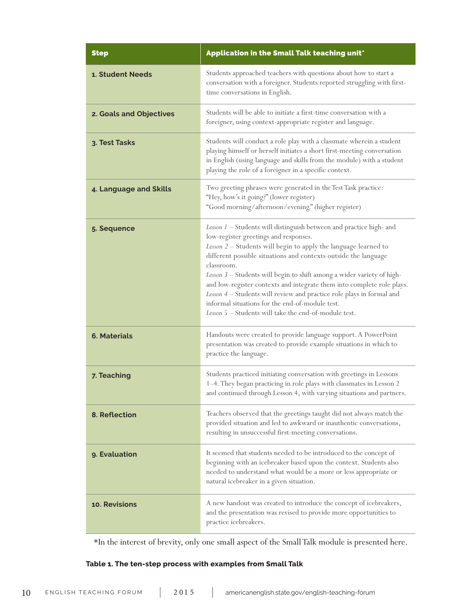| <b>Step</b>             | Application in the Small Talk teaching unit*                                                                                                                                                                                                                                                                                                                                                                                                                                                                                                                                                              |
|-------------------------|-----------------------------------------------------------------------------------------------------------------------------------------------------------------------------------------------------------------------------------------------------------------------------------------------------------------------------------------------------------------------------------------------------------------------------------------------------------------------------------------------------------------------------------------------------------------------------------------------------------|
| 1. Student Needs        | Students approached teachers with questions about how to start a<br>conversation with a foreigner. Students reported struggling with first-<br>time conversations in English.                                                                                                                                                                                                                                                                                                                                                                                                                             |
| 2. Goals and Objectives | Students will be able to initiate a first-time conversation with a<br>foreigner, using context-appropriate register and language.                                                                                                                                                                                                                                                                                                                                                                                                                                                                         |
| 3. Test Tasks           | Students will conduct a role play with a classmate wherein a student<br>playing himself or herself initiates a short first-meeting conversation<br>in English (using language and skills from the module) with a student<br>playing the role of a foreigner in a specific context.                                                                                                                                                                                                                                                                                                                        |
| 4. Language and Skills  | Two greeting phrases were generated in the Test Task practice:<br>"Hey, how's it going?" (lower register)<br>"Good morning/afternoon/evening." (higher register)                                                                                                                                                                                                                                                                                                                                                                                                                                          |
| 5. Sequence             | Lesson 1 - Students will distinguish between and practice high- and<br>low-register greetings and responses.<br>Lesson 2 - Students will begin to apply the language learned to<br>different possible situations and contexts outside the language<br>classroom.<br>Lesson 3 - Students will begin to shift among a wider variety of high-<br>and low-register contexts and integrate them into complete role plays.<br>Lesson 4 - Students will review and practice role plays in formal and<br>informal situations for the end-of-module test.<br>Lesson 5 – Students will take the end-of-module test. |
| <b>6. Materials</b>     | Handouts were created to provide language support. A PowerPoint<br>presentation was created to provide example situations in which to<br>practice the language.                                                                                                                                                                                                                                                                                                                                                                                                                                           |
| 7. Teaching             | Students practiced initiating conversation with greetings in Lessons<br>1-4. They began practicing in role plays with classmates in Lesson 2<br>and continued through Lesson 4, with varying situations and partners.                                                                                                                                                                                                                                                                                                                                                                                     |
| 8. Reflection           | Teachers observed that the greetings taught did not always match the<br>provided situation and led to awkward or inauthentic conversations,<br>resulting in unsuccessful first-meeting conversations.                                                                                                                                                                                                                                                                                                                                                                                                     |
| 9. Evaluation           | It seemed that students needed to be introduced to the concept of<br>beginning with an icebreaker based upon the context. Students also<br>needed to understand what would be a more or less appropriate or<br>natural icebreaker in a given situation.                                                                                                                                                                                                                                                                                                                                                   |
| 10. Revisions           | A new handout was created to introduce the concept of icebreakers,<br>and the presentation was revised to provide more opportunities to<br>practice icebreakers.                                                                                                                                                                                                                                                                                                                                                                                                                                          |

\*In the interest of brevity, only one small aspect of the Small Talk module is presented here.

# **Table 1. The ten-step process with examples from Small Talk**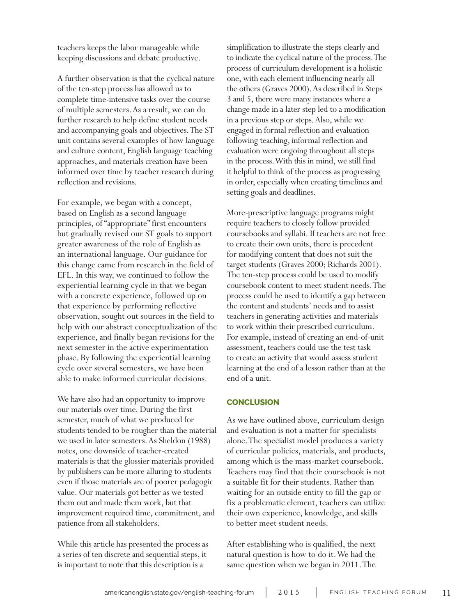teachers keeps the labor manageable while keeping discussions and debate productive.

A further observation is that the cyclical nature of the ten-step process has allowed us to complete time-intensive tasks over the course of multiple semesters. As a result, we can do further research to help define student needs and accompanying goals and objectives. The ST unit contains several examples of how language and culture content, English language teaching approaches, and materials creation have been informed over time by teacher research during reflection and revisions.

For example, we began with a concept, based on English as a second language principles, of "appropriate" first encounters but gradually revised our ST goals to support greater awareness of the role of English as an international language. Our guidance for this change came from research in the field of EFL. In this way, we continued to follow the experiential learning cycle in that we began with a concrete experience, followed up on that experience by performing reflective observation, sought out sources in the field to help with our abstract conceptualization of the experience, and finally began revisions for the next semester in the active experimentation phase. By following the experiential learning cycle over several semesters, we have been able to make informed curricular decisions.

We have also had an opportunity to improve our materials over time. During the first semester, much of what we produced for students tended to be rougher than the material we used in later semesters. As Sheldon (1988) notes, one downside of teacher-created materials is that the glossier materials provided by publishers can be more alluring to students even if those materials are of poorer pedagogic value. Our materials got better as we tested them out and made them work, but that improvement required time, commitment, and patience from all stakeholders.

While this article has presented the process as a series of ten discrete and sequential steps, it is important to note that this description is a

simplification to illustrate the steps clearly and to indicate the cyclical nature of the process. The process of curriculum development is a holistic one, with each element influencing nearly all the others (Graves 2000). As described in Steps 3 and 5, there were many instances where a change made in a later step led to a modification in a previous step or steps. Also, while we engaged in formal reflection and evaluation following teaching, informal reflection and evaluation were ongoing throughout all steps in the process. With this in mind, we still find it helpful to think of the process as progressing in order, especially when creating timelines and setting goals and deadlines.

More-prescriptive language programs might require teachers to closely follow provided coursebooks and syllabi. If teachers are not free to create their own units, there is precedent for modifying content that does not suit the target students (Graves 2000; Richards 2001). The ten-step process could be used to modify coursebook content to meet student needs. The process could be used to identify a gap between the content and students' needs and to assist teachers in generating activities and materials to work within their prescribed curriculum. For example, instead of creating an end-of-unit assessment, teachers could use the test task to create an activity that would assess student learning at the end of a lesson rather than at the end of a unit.

## **CONCLUSION**

As we have outlined above, curriculum design and evaluation is not a matter for specialists alone. The specialist model produces a variety of curricular policies, materials, and products, among which is the mass-market coursebook. Teachers may find that their coursebook is not a suitable fit for their students. Rather than waiting for an outside entity to fill the gap or fix a problematic element, teachers can utilize their own experience, knowledge, and skills to better meet student needs.

After establishing who is qualified, the next natural question is how to do it. We had the same question when we began in 2011. The